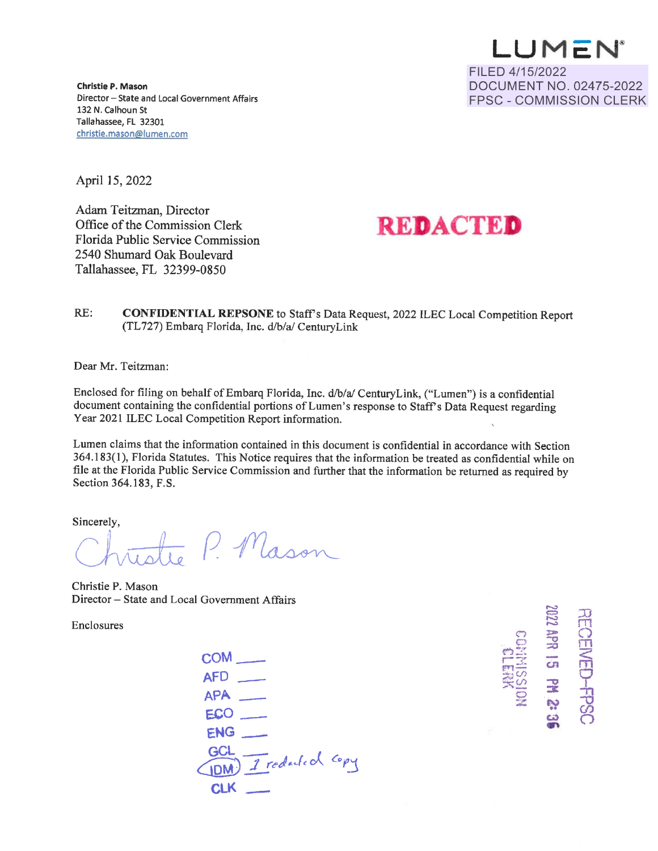**LU M C: N ®**  FILED 4/15/2022 DOCUMENT NO. 02475-2022 FPSC - COMMISSION CLERK

**Christie P. Mason**  Director - State and Local Government Affairs 132 N. calhoun St Tallahassee, FL 32301 christie.mason@lumen.com

April 15, 2022

Adam Teitzman, Director Office of the Commission Clerk Florida Public Service Commission 2540 Shumard Oak Boulevard Tallahassee, FL 32399-0850

# **REDACTED**

RE: **CONFIDENTIAL REPSONE** to Staff's Data Request, 2022 ILEC Local Competition Report (TL727) Embarq Florida, Inc. d/b/a/ CenturyLink

Dear Mr. Teitzman:

Enclosed for filing on behalf of Embarq Florida, Inc. d/b/a/ Century Link, ("Lumen") is a confidential document containing the confidential portions of Lumen's response to Staff's Data Request regarding Year 2021 ILEC Local Competition Report information.

Lumen claims that the information contained in this document is confidential in accordance with Section 364.183(1 ), Florida Statutes. This Notice requires that the information be treated as confidential while on file at the Florida Public Service Commission and further that the information be returned as required by Section 364.183, F.S.

Sincerely,

File at the Florida Public Service Commission and further that the Section 364.183, F.S.<br>
Sincerely,<br>
Christie P. Mason

Christie P. Mason Director – State and Local Government Affairs

Enclosures

coM\_  $AFD$   $\qquad$  $APA$   $\qquad$  $ECO$ ENG\_ GCL- *tc,* <irui) *..J\_;eJ* ,.\_..{( *r:A* <sup>O</sup>fj **CLK** 



 $\sim$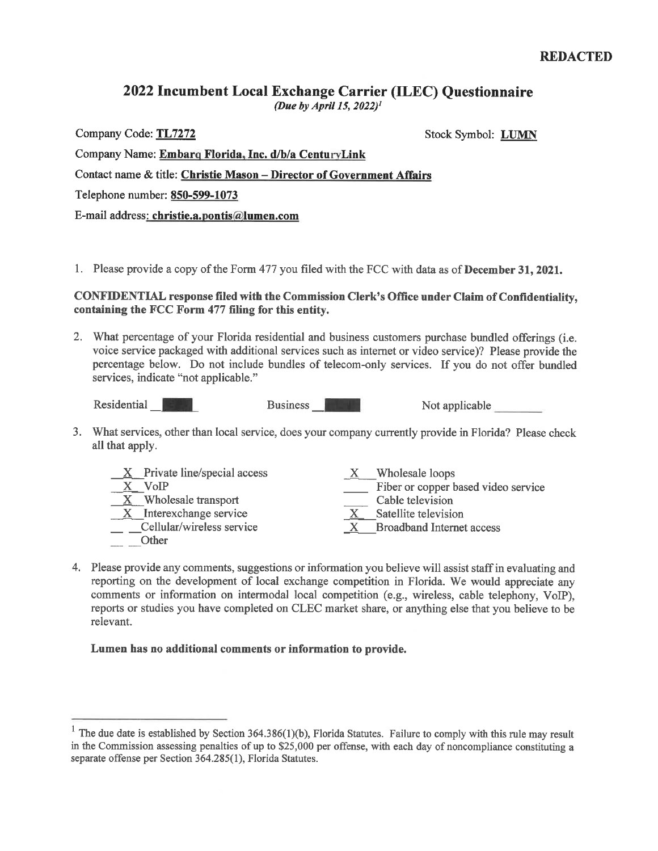## 2022 Incumbent Local Exchange Carrier (ILEC) Questionnaire

*(Due* by *April 15, 2022)1* 

Company Code: **TL7272** Stock Symbol: **LUMN** 

| Company Name: Embarg Florida, Inc. d/b/a CenturyLink                  |
|-----------------------------------------------------------------------|
| Contact name & title: Christie Mason - Director of Government Affairs |
| Telephone number: 850-599-1073                                        |
| E-mail address: christie.a.pontis@lumen.com                           |

1. Please provide a copy of the Form 477 you filed with the FCC with data as of **December 31, 2021.** 

### **CONFIDENTIAL response filed with the Commission Clerk's Office under Claim of Confidentiality, containing the FCC Form** 477 **filing for this entity.**

2. What percentage of your Florida residential and business customers purchase bundled offerings (i.e. voice service packaged with additional services such as internet or video service)? Please provide the percentage below. Do not include bundles of telecom-only services. If you do not offer bundled services, indicate "not applicable."

Residential  $\blacksquare$  Business  $\blacksquare$  Not applicable

3. What services, other than local service, does your company currently provide in Florida? Please check all that apply.

| $X$ Private line/special access     | Wholesale loops                     |
|-------------------------------------|-------------------------------------|
| VoIP                                | Fiber or copper based video service |
| $\underline{X}$ Wholesale transport | Cable television                    |
| Interexchange service               | Satellite television                |
| Cellular/wireless service           | <b>Broadband Internet access</b>    |
| <b>Other</b>                        |                                     |

4. Please provide any comments, suggestions or information you believe will assist staff in evaluating and reporting on the development of local exchange competition in Florida. We would appreciate any comments or information on intermodal local competition (e.g., wireless, cable telephony, VoIP), reports or studies you have completed on CLEC market share, or anything else that you believe to be relevant.

#### **Lumen has no additional comments or information to provide.**

<sup>&</sup>lt;sup>1</sup> The due date is established by Section 364.386(1)(b), Florida Statutes. Failure to comply with this rule may result in the Commission assessing penalties of up to \$25,000 per offense, with each day of noncompliance constituting a separate offense per Section 364.285(1), Florida Statutes.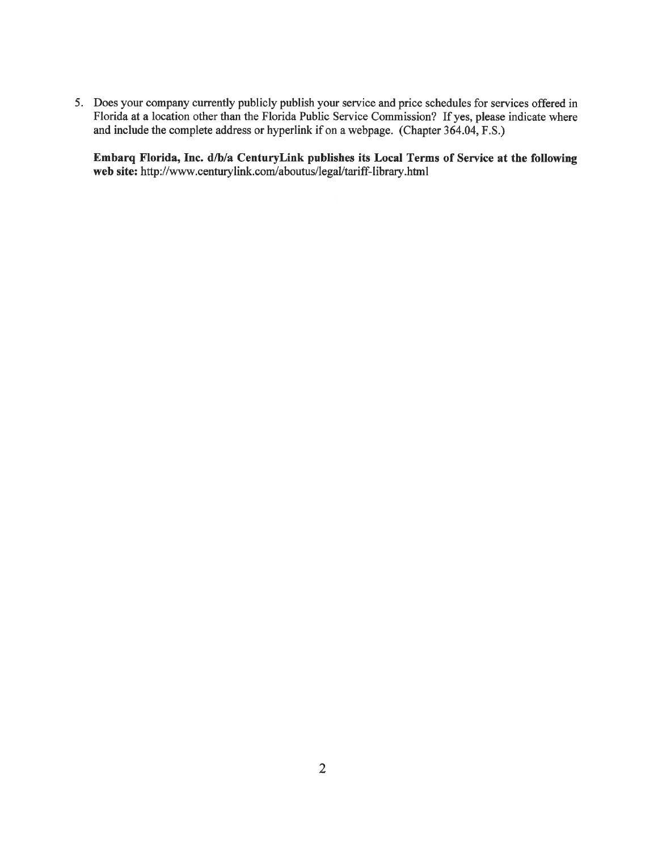*5.* Does your company currently publicly publish your service and price schedules for services offered in Florida at a location other than the Florida Public Service Commission? If yes, please indicate where and include the complete address or hyperlink if on a webpage. (Chapter 364.04, F.S.)

**Embarq Florida, Inc. d/b/a CenturyLink publishes its Local Terms of Service at the following**  web site: http://www.centurylink.com/aboutus/legal/tariff-library.html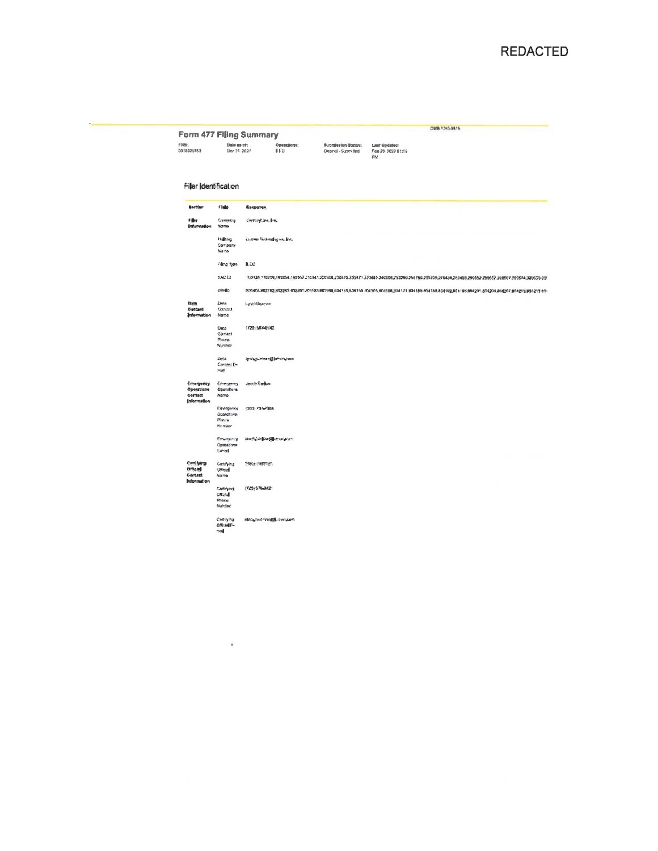|  |  | <b>Form 477 Filling Summary</b> |
|--|--|---------------------------------|
|--|--|---------------------------------|

 $\mathbf{r}$ 

|<br>| 1999|<br>| 1999|<br>| 1999|<br>| 1999|<br>| 1999|<br>| 1999| .<br>Operations:<br>B.ICO 06830650416

#### Filer Identification

| <b>Beetlan</b>                                         | Field                                                           | Response                                                                                                                                           |
|--------------------------------------------------------|-----------------------------------------------------------------|----------------------------------------------------------------------------------------------------------------------------------------------------|
| <b>Filter</b><br>Information                           | Gamestoy<br>Name                                                | Centurylians, Jon.                                                                                                                                 |
|                                                        | <b>Righting</b><br>Conserv<br>Name                              | Lumen Technologies, Inc.                                                                                                                           |
|                                                        | Filma Type                                                      | <b>B.EC</b>                                                                                                                                        |
|                                                        | SAC ID                                                          | 160338.770209,190254,190567.210345,220368,200476,230471.230485.240006,250299.259789.259789,270434,280458,290552.290567.290567.290574,38050300      |
|                                                        | 49982                                                           | 001468.882582,652263.912690.655583.883998,604155,804156.804156,804568,884581,884165.604188.804582,804189,804281.654204.804267.804210.804210.804210 |
| <b>Data</b><br>Contact<br>Internation                  | Onto<br>Ganzel<br><b>Name</b>                                   | Lynn Guerran                                                                                                                                       |
|                                                        | $D$ ata<br>Cantert<br><b>Pitcate</b><br>Number                  | (729) 564-8542                                                                                                                                     |
|                                                        | Chicle.<br>Continue E-<br>matt                                  | iyatçı.>man@brançma                                                                                                                                |
| Emergency<br>Operations<br>Contact<br>Information      | Emergency<br><b>Operations</b><br>Namo                          | Jamb Darkin                                                                                                                                        |
|                                                        | Emergency<br>Openshorth<br><b>Philadel</b><br><b>Attornized</b> | (333) 797-7084                                                                                                                                     |
|                                                        | <b>Release cy</b><br>Consalinne<br>Europe                       | (apdylanisw@arreausen                                                                                                                              |
| Certifying<br><b>Ortiglas</b><br>Cortast<br>bdormation | Centifying<br>Official<br>Nome.                                 | Stecy Hartman                                                                                                                                      |
|                                                        | Contrient<br>pricial<br>Phone<br>Nunday                         | (720) 576-3421                                                                                                                                     |
|                                                        | CertifyIng<br>Official F-<br>cost                               | slaupartman@utrer.com                                                                                                                              |